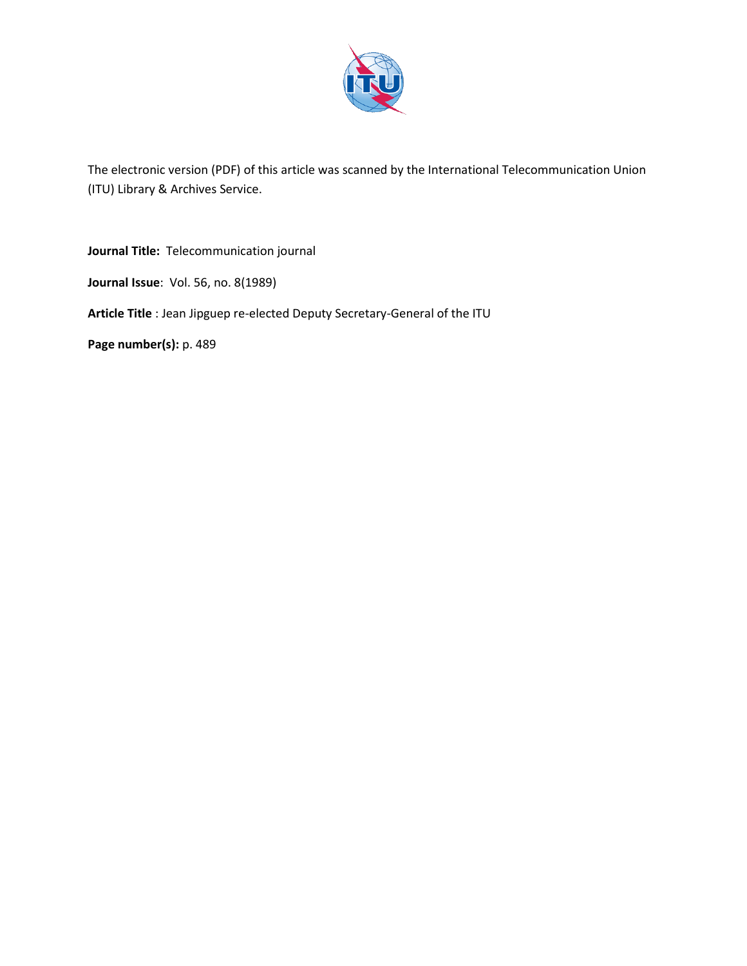

The electronic version (PDF) of this article was scanned by the International Telecommunication Union (ITU) Library & Archives Service.

**Journal Title:** Telecommunication journal

**Journal Issue**: Vol. 56, no. 8(1989)

**Article Title** : Jean Jipguep re-elected Deputy Secretary-General of the ITU

**Page number(s):** p. 489